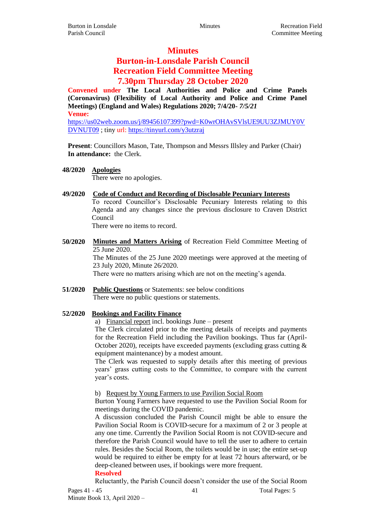## **Minutes**

# **Burton-in-Lonsdale Parish Council Recreation Field Committee Meeting 7.30pm Thursday 28 October 2020**

**Convened under The Local Authorities and Police and Crime Panels (Coronavirus) (Flexibility of Local Authority and Police and Crime Panel Meetings) (England and Wales) Regulations 2020; 7/4/20-** *7/5/21* **Venue:**

[https://us02web.zoom.us/j/89456107399?pwd=K0wrOHAvSVlsUE9UU3ZJMUY0V](https://us02web.zoom.us/j/89456107399?pwd=K0wrOHAvSVlsUE9UU3ZJMUY0VDVNUT09) [DVNUT09](https://us02web.zoom.us/j/89456107399?pwd=K0wrOHAvSVlsUE9UU3ZJMUY0VDVNUT09) ; tiny url[: https://tinyurl.com/y3utzraj](https://tinyurl.com/y3utzraj)

**Present**: Councillors Mason, Tate, Thompson and Messrs Illsley and Parker (Chair) **In attendance:** the Clerk.

**48/2020 Apologies**

There were no apologies.

**49/2020 Code of Conduct and Recording of Disclosable Pecuniary Interests**

To record Councillor's Disclosable Pecuniary Interests relating to this Agenda and any changes since the previous disclosure to Craven District Council

There were no items to record.

**50/2020 Minutes and Matters Arising** of Recreation Field Committee Meeting of 25 June 2020.

The Minutes of the 25 June 2020 meetings were approved at the meeting of 23 July 2020, Minute 26/2020.

There were no matters arising which are not on the meeting's agenda.

**51/2020 Public Questions** or Statements: see below conditions There were no public questions or statements.

## **52/2020 Bookings and Facility Finance**

a) Financial report incl. bookings June – present

The Clerk circulated prior to the meeting details of receipts and payments for the Recreation Field including the Pavilion bookings. Thus far (April-October 2020), receipts have exceeded payments (excluding grass cutting  $\&$ equipment maintenance) by a modest amount.

The Clerk was requested to supply details after this meeting of previous years' grass cutting costs to the Committee, to compare with the current year's costs.

#### b) Request by Young Farmers to use Pavilion Social Room

Burton Young Farmers have requested to use the Pavilion Social Room for meetings during the COVID pandemic.

A discussion concluded the Parish Council might be able to ensure the Pavilion Social Room is COVID-secure for a maximum of 2 or 3 people at any one time. Currently the Pavilion Social Room is not COVID-secure and therefore the Parish Council would have to tell the user to adhere to certain rules. Besides the Social Room, the toilets would be in use; the entire set-up would be required to either be empty for at least 72 hours afterward, or be deep-cleaned between uses, if bookings were more frequent.

#### **Resolved**

Reluctantly, the Parish Council doesn't consider the use of the Social Room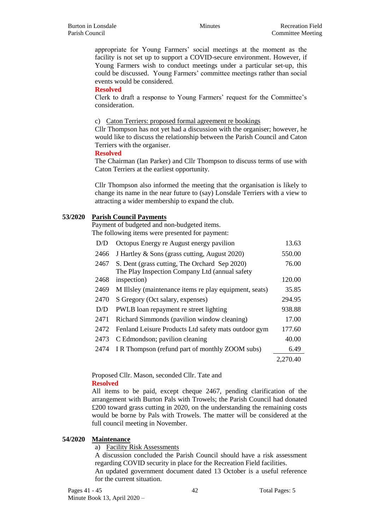appropriate for Young Farmers' social meetings at the moment as the facility is not set up to support a COVID-secure environment. However, if Young Farmers wish to conduct meetings under a particular set-up, this could be discussed. Young Farmers' committee meetings rather than social events would be considered.

#### **Resolved**

Clerk to draft a response to Young Farmers' request for the Committee's consideration.

#### c) Caton Terriers: proposed formal agreement re bookings

Cllr Thompson has not yet had a discussion with the organiser; however, he would like to discuss the relationship between the Parish Council and Caton Terriers with the organiser.

#### **Resolved**

The Chairman (Ian Parker) and Cllr Thompson to discuss terms of use with Caton Terriers at the earliest opportunity.

Cllr Thompson also informed the meeting that the organisation is likely to change its name in the near future to (say) Lonsdale Terriers with a view to attracting a wider membership to expand the club.

#### **53/2020 Parish Council Payments**

Payment of budgeted and non-budgeted items.

The following items were presented for payment:

| D/D  | Octopus Energy re August energy pavilion                                                        | 13.63    |
|------|-------------------------------------------------------------------------------------------------|----------|
| 2466 | J Hartley & Sons (grass cutting, August 2020)                                                   | 550.00   |
| 2467 | S. Dent (grass cutting, The Orchard Sep 2020)<br>The Play Inspection Company Ltd (annual safety | 76.00    |
| 2468 | inspection)                                                                                     | 120.00   |
| 2469 | M Illsley (maintenance items re play equipment, seats)                                          | 35.85    |
| 2470 | S Gregory (Oct salary, expenses)                                                                | 294.95   |
| D/D  | PWLB loan repayment re street lighting                                                          | 938.88   |
| 2471 | Richard Simmonds (pavilion window cleaning)                                                     | 17.00    |
| 2472 | Fenland Leisure Products Ltd safety mats outdoor gym                                            | 177.60   |
| 2473 | C Edmondson; pavilion cleaning                                                                  | 40.00    |
| 2474 | I R Thompson (refund part of monthly ZOOM subs)                                                 | 6.49     |
|      |                                                                                                 | 2,270.40 |

Proposed Cllr. Mason, seconded Cllr. Tate and **Resolved**

All items to be paid, except cheque 2467, pending clarification of the arrangement with Burton Pals with Trowels; the Parish Council had donated £200 toward grass cutting in 2020, on the understanding the remaining costs would be borne by Pals with Trowels. The matter will be considered at the full council meeting in November.

#### **54/2020 Maintenance**

a) Facility Risk Assessments

A discussion concluded the Parish Council should have a risk assessment regarding COVID security in place for the Recreation Field facilities.

An updated government document dated 13 October is a useful reference for the current situation.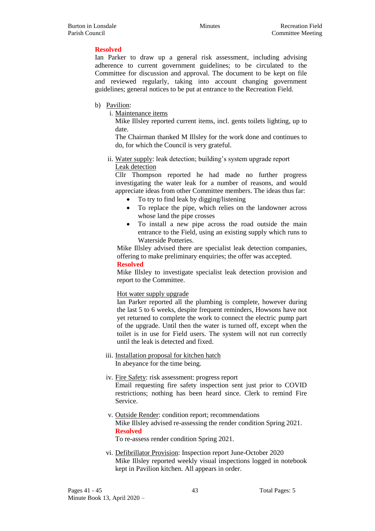## **Resolved**

Ian Parker to draw up a general risk assessment, including advising adherence to current government guidelines; to be circulated to the Committee for discussion and approval. The document to be kept on file and reviewed regularly, taking into account changing government guidelines; general notices to be put at entrance to the Recreation Field.

- b) Pavilion:
	- i. Maintenance items

Mike Illsley reported current items, incl. gents toilets lighting, up to date.

The Chairman thanked M Illsley for the work done and continues to do, for which the Council is very grateful.

ii. Water supply: leak detection; building's system upgrade report Leak detection

Cllr Thompson reported he had made no further progress investigating the water leak for a number of reasons, and would appreciate ideas from other Committee members. The ideas thus far:

- To try to find leak by digging/listening
- To replace the pipe, which relies on the landowner across whose land the pipe crosses
- To install a new pipe across the road outside the main entrance to the Field, using an existing supply which runs to Waterside Potteries.

Mike Illsley advised there are specialist leak detection companies, offering to make preliminary enquiries; the offer was accepted.

#### **Resolved**

Mike Illsley to investigate specialist leak detection provision and report to the Committee.

#### Hot water supply upgrade

Ian Parker reported all the plumbing is complete, however during the last 5 to 6 weeks, despite frequent reminders, Howsons have not yet returned to complete the work to connect the electric pump part of the upgrade. Until then the water is turned off, except when the toilet is in use for Field users. The system will not run correctly until the leak is detected and fixed.

- iii. Installation proposal for kitchen hatch In abeyance for the time being.
- iv. Fire Safety: risk assessment: progress report Email requesting fire safety inspection sent just prior to COVID restrictions; nothing has been heard since. Clerk to remind Fire Service.
- v. Outside Render: condition report; recommendations Mike Illsley advised re-assessing the render condition Spring 2021. **Resolved**

To re-assess render condition Spring 2021.

vi. Defibrillator Provision: Inspection report June-October 2020 Mike Illsley reported weekly visual inspections logged in notebook kept in Pavilion kitchen. All appears in order.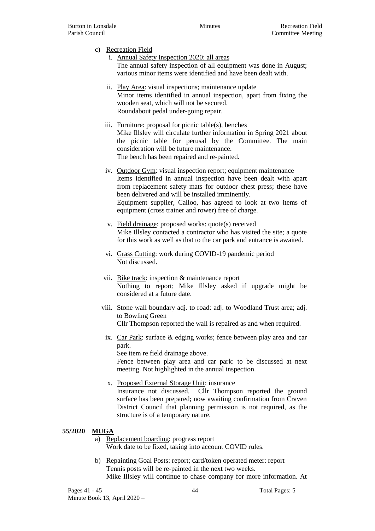- c) Recreation Field
	- i. Annual Safety Inspection 2020: all areas The annual safety inspection of all equipment was done in August; various minor items were identified and have been dealt with.
	- ii. Play Area: visual inspections; maintenance update Minor items identified in annual inspection, apart from fixing the wooden seat, which will not be secured. Roundabout pedal under-going repair.
	- iii. Furniture: proposal for picnic table(s), benches Mike Illsley will circulate further information in Spring 2021 about the picnic table for perusal by the Committee. The main consideration will be future maintenance. The bench has been repaired and re-painted.
	- iv. Outdoor Gym: visual inspection report; equipment maintenance Items identified in annual inspection have been dealt with apart from replacement safety mats for outdoor chest press; these have been delivered and will be installed imminently. Equipment supplier, Calloo, has agreed to look at two items of equipment (cross trainer and rower) free of charge.
	- v. Field drainage: proposed works: quote(s) received Mike Illsley contacted a contractor who has visited the site; a quote for this work as well as that to the car park and entrance is awaited.
	- vi. Grass Cutting: work during COVID-19 pandemic period Not discussed.
	- vii. Bike track: inspection & maintenance report Nothing to report; Mike Illsley asked if upgrade might be considered at a future date.
	- viii. Stone wall boundary adj. to road: adj. to Woodland Trust area; adj. to Bowling Green Cllr Thompson reported the wall is repaired as and when required.
		- ix. Car Park: surface & edging works; fence between play area and car park.

See item re field drainage above.

Fence between play area and car park: to be discussed at next meeting. Not highlighted in the annual inspection.

x. Proposed External Storage Unit: insurance Insurance not discussed. Cllr Thompson reported the ground surface has been prepared; now awaiting confirmation from Craven District Council that planning permission is not required, as the structure is of a temporary nature.

#### **55/2020 MUGA**

- a) Replacement boarding: progress report Work date to be fixed, taking into account COVID rules.
- b) Repainting Goal Posts: report; card/token operated meter: report Tennis posts will be re-painted in the next two weeks. Mike Illsley will continue to chase company for more information. At